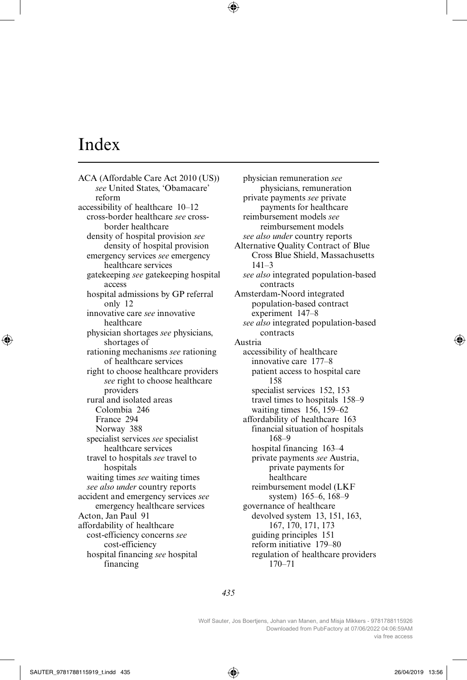## Index

ACA (Affordable Care Act 2010 (US)) *see* United States, 'Obamacare' reform accessibility of healthcare 10–12 cross-border healthcare *see* crossborder healthcare density of hospital provision *see* density of hospital provision emergency services *see* emergency healthcare services gatekeeping *see* gatekeeping hospital access hospital admissions by GP referral only 12 innovative care *see* innovative healthcare physician shortages *see* physicians, shortages of rationing mechanisms *see* rationing of healthcare services right to choose healthcare providers *see* right to choose healthcare providers rural and isolated areas Colombia 246 France 294 Norway 388 specialist services *see* specialist healthcare services travel to hospitals *see* travel to hospitals waiting times *see* waiting times *see also under* country reports accident and emergency services *see* emergency healthcare services Acton, Jan Paul 91 affordability of healthcare cost-efficiency concerns *see* cost-efficiency hospital financing *see* hospital financing

physician remuneration *see* physicians, remuneration private payments *see* private payments for healthcare reimbursement models *see* reimbursement models *see also under* country reports Alternative Quality Contract of Blue Cross Blue Shield, Massachusetts 141–3 *see also* integrated population-based contracts Amsterdam-Noord integrated population-based contract experiment 147–8 *see also* integrated population-based contracts Austria accessibility of healthcare innovative care 177–8 patient access to hospital care 158 specialist services 152, 153 travel times to hospitals 158–9 waiting times 156, 159–62 affordability of healthcare 163 financial situation of hospitals 168–9 hospital financing 163–4 private payments *see* Austria, private payments for healthcare reimbursement model (LKF system) 165–6, 168–9 governance of healthcare devolved system 13, 151, 163, 167, 170, 171, 173 guiding principles 151 reform initiative 179–80 regulation of healthcare providers 170–71

*435*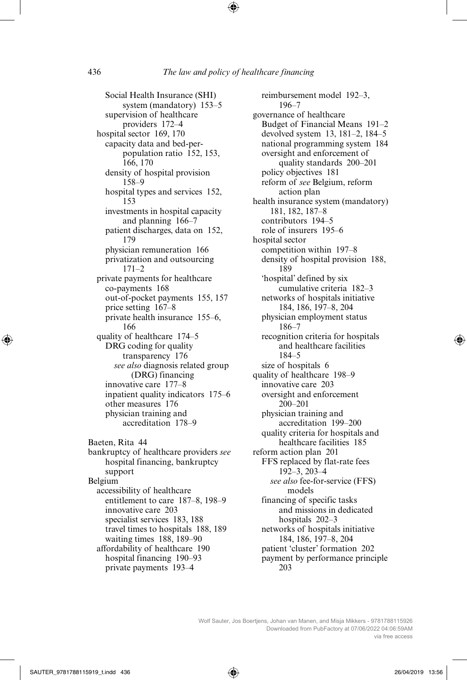Social Health Insurance (SHI) system (mandatory) 153–5 supervision of healthcare providers 172–4 hospital sector 169, 170 capacity data and bed-perpopulation ratio 152, 153, 166, 170 density of hospital provision 158–9 hospital types and services 152, 153 investments in hospital capacity and planning 166–7 patient discharges, data on 152, 179 physician remuneration 166 privatization and outsourcing 171–2 private payments for healthcare co-payments 168 out-of-pocket payments 155, 157 price setting 167–8 private health insurance 155–6, 166 quality of healthcare 174–5 DRG coding for quality transparency 176 *see also* diagnosis related group (DRG) financing innovative care 177–8 inpatient quality indicators 175–6 other measures 176 physician training and accreditation 178–9 Baeten, Rita 44 bankruptcy of healthcare providers *see* hospital financing, bankruptcy support Belgium accessibility of healthcare entitlement to care 187–8, 198–9 innovative care 203 specialist services 183, 188 travel times to hospitals 188, 189 waiting times 188, 189–90 affordability of healthcare 190

hospital financing 190–93 private payments 193–4

reimbursement model 192–3, 196–7 governance of healthcare Budget of Financial Means 191–2 devolved system 13, 181–2, 184–5 national programming system 184 oversight and enforcement of quality standards 200–201 policy objectives 181 reform of *see* Belgium, reform action plan health insurance system (mandatory) 181, 182, 187–8 contributors 194–5 role of insurers 195–6 hospital sector competition within 197–8 density of hospital provision 188, 189 'hospital' defined by six cumulative criteria 182–3 networks of hospitals initiative 184, 186, 197–8, 204 physician employment status 186–7 recognition criteria for hospitals and healthcare facilities 184–5 size of hospitals 6 quality of healthcare 198–9 innovative care 203 oversight and enforcement 200–201 physician training and accreditation 199–200 quality criteria for hospitals and healthcare facilities 185 reform action plan 201 FFS replaced by flat-rate fees 192–3, 203–4 *see also* fee-for-service (FFS) models financing of specific tasks and missions in dedicated hospitals 202–3 networks of hospitals initiative 184, 186, 197–8, 204 patient 'cluster' formation 202 payment by performance principle 203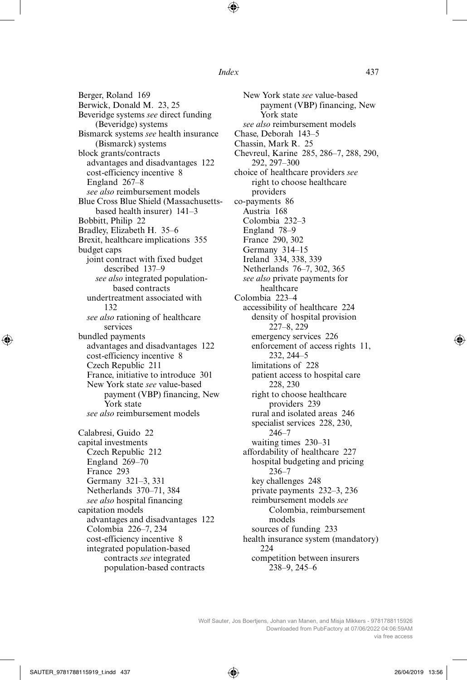Berger, Roland 169 Berwick, Donald M. 23, 25 Beveridge systems *see* direct funding (Beveridge) systems Bismarck systems *see* health insurance (Bismarck) systems block grants/contracts advantages and disadvantages 122 cost-efficiency incentive 8 England 267–8 *see also* reimbursement models Blue Cross Blue Shield (Massachusettsbased health insurer) 141–3 Bobbitt, Philip 22 Bradley, Elizabeth H. 35–6 Brexit, healthcare implications 355 budget caps joint contract with fixed budget described 137–9 *see also* integrated populationbased contracts undertreatment associated with 132 *see also* rationing of healthcare services bundled payments advantages and disadvantages 122 cost-efficiency incentive 8 Czech Republic 211 France, initiative to introduce 301 New York state *see* value-based payment (VBP) financing, New York state *see also* reimbursement models Calabresi, Guido 22 capital investments Czech Republic 212 England 269–70 France 293 Germany 321–3, 331 Netherlands 370–71, 384 *see also* hospital financing capitation models advantages and disadvantages 122 Colombia 226–7, 234 cost-efficiency incentive 8 integrated population-based contracts *see* integrated population-based contracts

New York state *see* value-based payment (VBP) financing, New York state *see also* reimbursement models Chase, Deborah 143–5 Chassin, Mark R. 25 Chevreul, Karine 285, 286–7, 288, 290, 292, 297–300 choice of healthcare providers *see* right to choose healthcare providers co-payments 86 Austria 168 Colombia 232–3 England 78–9 France 290, 302 Germany 314–15 Ireland 334, 338, 339 Netherlands 76–7, 302, 365 *see also* private payments for healthcare Colombia 223–4 accessibility of healthcare 224 density of hospital provision 227–8, 229 emergency services 226 enforcement of access rights 11, 232, 244–5 limitations of 228 patient access to hospital care 228, 230 right to choose healthcare providers 239 rural and isolated areas 246 specialist services 228, 230, 246–7 waiting times 230–31 affordability of healthcare 227 hospital budgeting and pricing 236–7 key challenges 248 private payments 232–3, 236 reimbursement models *see* Colombia, reimbursement models sources of funding 233 health insurance system (mandatory) 224 competition between insurers 238–9, 245–6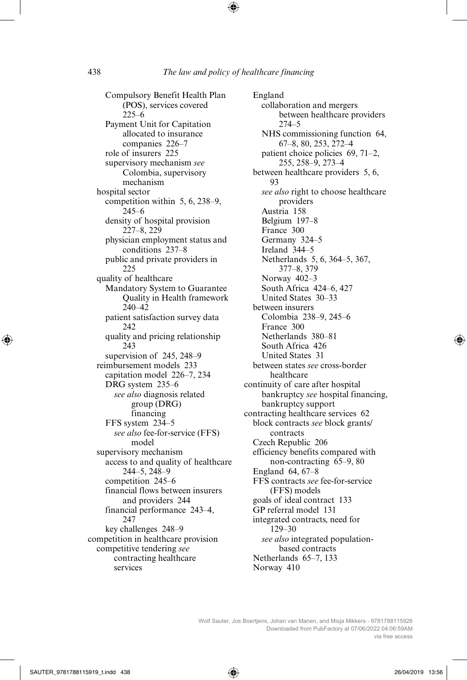Compulsory Benefit Health Plan (POS), services covered 225–6 Payment Unit for Capitation allocated to insurance companies 226–7 role of insurers 225 supervisory mechanism *see* Colombia, supervisory mechanism hospital sector competition within 5, 6, 238–9, 245–6 density of hospital provision 227–8, 229 physician employment status and conditions 237–8 public and private providers in 225 quality of healthcare Mandatory System to Guarantee Quality in Health framework 240–42 patient satisfaction survey data 242 quality and pricing relationship 243 supervision of 245, 248–9 reimbursement models 233 capitation model 226–7, 234 DRG system 235–6 *see also* diagnosis related group (DRG) financing FFS system 234–5 *see also* fee-for-service (FFS) model supervisory mechanism access to and quality of healthcare 244–5, 248–9 competition 245–6 financial flows between insurers and providers 244 financial performance 243–4, 247 key challenges 248–9 competition in healthcare provision competitive tendering *see* contracting healthcare services

England collaboration and mergers between healthcare providers 274–5 NHS commissioning function 64, 67–8, 80, 253, 272–4 patient choice policies 69, 71–2, 255, 258–9, 273–4 between healthcare providers 5, 6, 93 *see also* right to choose healthcare providers Austria 158 Belgium 197–8 France 300 Germany 324–5 Ireland 344–5 Netherlands 5, 6, 364–5, 367, 377–8, 379 Norway 402–3 South Africa 424–6, 427 United States 30–33 between insurers Colombia 238–9, 245–6 France 300 Netherlands 380–81 South Africa 426 United States 31 between states *see* cross-border healthcare continuity of care after hospital bankruptcy *see* hospital financing, bankruptcy support contracting healthcare services 62 block contracts *see* block grants/ contracts Czech Republic 206 efficiency benefits compared with non-contracting 65–9, 80 England 64, 67–8 FFS contracts *see* fee-for-service (FFS) models goals of ideal contract 133 GP referral model 131 integrated contracts, need for 129–30 *see also* integrated populationbased contracts Netherlands 65–7, 133 Norway 410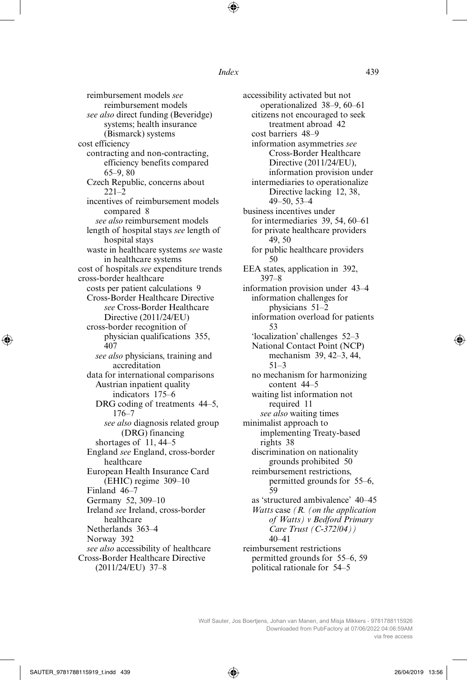reimbursement models *see* reimbursement models *see also* direct funding (Beveridge) systems; health insurance (Bismarck) systems cost efficiency contracting and non-contracting, efficiency benefits compared 65–9, 80 Czech Republic, concerns about  $221-2$ incentives of reimbursement models compared 8 *see also* reimbursement models length of hospital stays *see* length of hospital stays waste in healthcare systems *see* waste in healthcare systems cost of hospitals *see* expenditure trends cross-border healthcare costs per patient calculations 9 Cross-Border Healthcare Directive *see* Cross-Border Healthcare Directive (2011/24/EU) cross-border recognition of physician qualifications 355, 407 *see also* physicians, training and accreditation data for international comparisons Austrian inpatient quality indicators 175–6 DRG coding of treatments 44–5. 176–7 *see also* diagnosis related group (DRG) financing shortages of 11, 44–5 England *see* England, cross-border healthcare European Health Insurance Card (EHIC) regime 309–10 Finland 46–7 Germany 52, 309–10 Ireland *see* Ireland, cross-border healthcare Netherlands 363–4 Norway 392 *see also* accessibility of healthcare Cross-Border Healthcare Directive (2011/24/EU) 37–8

accessibility activated but not operationalized 38–9, 60–61 citizens not encouraged to seek treatment abroad 42 cost barriers 48–9 information asymmetries *see* Cross-Border Healthcare Directive (2011/24/EU), information provision under intermediaries to operationalize Directive lacking 12, 38, 49–50, 53–4 business incentives under for intermediaries 39, 54, 60–61 for private healthcare providers 49, 50 for public healthcare providers 50 EEA states, application in 392, 397–8 information provision under 43–4 information challenges for physicians 51–2 information overload for patients 53 'localization' challenges 52–3 National Contact Point (NCP) mechanism 39, 42–3, 44, 51–3 no mechanism for harmonizing content 44–5 waiting list information not required 11 *see also* waiting times minimalist approach to implementing Treaty-based rights 38 discrimination on nationality grounds prohibited 50 reimbursement restrictions, permitted grounds for 55–6, 59 as 'structured ambivalence' 40–45 *Watts* case *(R. (on the application of Watts) v Bedford Primary Care Trust (C-372/04))* 40–41 reimbursement restrictions permitted grounds for 55–6, 59 political rationale for 54–5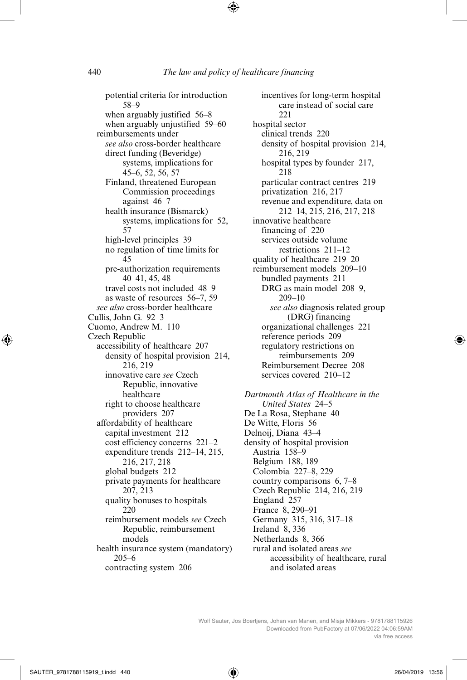potential criteria for introduction 58–9 when arguably justified 56–8 when arguably unjustified 59–60 reimbursements under *see also* cross-border healthcare direct funding (Beveridge) systems, implications for 45–6, 52, 56, 57 Finland, threatened European Commission proceedings against 46–7 health insurance (Bismarck) systems, implications for 52, 57 high-level principles 39 no regulation of time limits for 45 pre-authorization requirements 40–41, 45, 48 travel costs not included 48–9 as waste of resources 56–7, 59 *see also* cross-border healthcare Cullis, John G. 92–3 Cuomo, Andrew M. 110 Czech Republic accessibility of healthcare 207 density of hospital provision 214, 216, 219 innovative care *see* Czech Republic, innovative healthcare right to choose healthcare providers 207 affordability of healthcare capital investment 212 cost efficiency concerns 221–2 expenditure trends 212–14, 215, 216, 217, 218 global budgets 212 private payments for healthcare 207, 213 quality bonuses to hospitals  $220$ reimbursement models *see* Czech Republic, reimbursement models health insurance system (mandatory) 205–6 contracting system 206

incentives for long-term hospital care instead of social care 221 hospital sector clinical trends 220 density of hospital provision 214, 216, 219 hospital types by founder 217, 218 particular contract centres 219 privatization 216, 217 revenue and expenditure, data on 212–14, 215, 216, 217, 218 innovative healthcare financing of 220 services outside volume restrictions 211–12 quality of healthcare 219–20 reimbursement models 209–10 bundled payments 211 DRG as main model 208–9, 209–10 *see also* diagnosis related group (DRG) financing organizational challenges 221 reference periods 209 regulatory restrictions on reimbursements 209 Reimbursement Decree 208 services covered 210–12

*Dartmouth Atlas of Healthcare in the United States* 24–5 De La Rosa, Stephane 40 De Witte, Floris 56 Delnoij, Diana 43–4 density of hospital provision Austria 158–9 Belgium 188, 189 Colombia 227–8, 229 country comparisons 6, 7–8 Czech Republic 214, 216, 219 England 257 France 8, 290–91 Germany 315, 316, 317–18 Ireland 8, 336 Netherlands 8, 366 rural and isolated areas *see* accessibility of healthcare, rural and isolated areas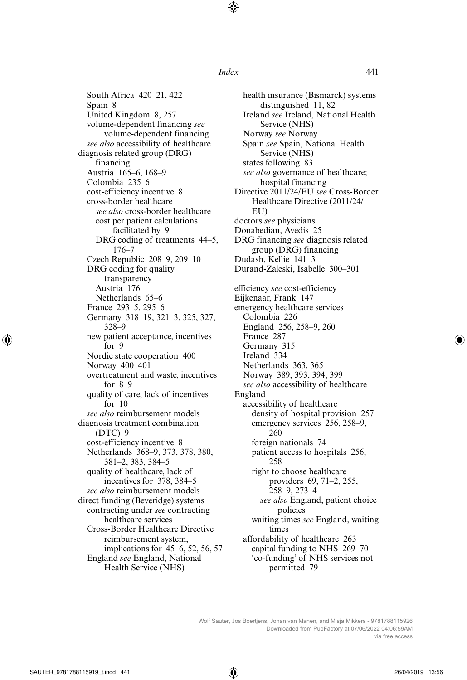South Africa 420–21, 422 Spain 8 United Kingdom 8, 257 volume-dependent financing *see* volume-dependent financing *see also* accessibility of healthcare diagnosis related group (DRG) financing Austria 165–6, 168–9 Colombia 235–6 cost-efficiency incentive 8 cross-border healthcare *see also* cross-border healthcare cost per patient calculations facilitated by 9 DRG coding of treatments 44–5, 176–7 Czech Republic 208–9, 209–10 DRG coding for quality transparency Austria 176 Netherlands 65–6 France 293–5, 295–6 Germany 318–19, 321–3, 325, 327, 328–9 new patient acceptance, incentives for 9 Nordic state cooperation 400 Norway 400–401 overtreatment and waste, incentives for 8–9 quality of care, lack of incentives for 10 *see also* reimbursement models diagnosis treatment combination (DTC) 9 cost-efficiency incentive 8 Netherlands 368–9, 373, 378, 380, 381–2, 383, 384–5 quality of healthcare, lack of incentives for 378, 384–5 *see also* reimbursement models direct funding (Beveridge) systems contracting under *see* contracting healthcare services Cross-Border Healthcare Directive reimbursement system, implications for 45–6, 52, 56, 57 England *see* England, National Health Service (NHS)

health insurance (Bismarck) systems distinguished 11, 82 Ireland *see* Ireland, National Health Service (NHS) Norway *see* Norway Spain *see* Spain, National Health Service (NHS) states following 83 *see also* governance of healthcare; hospital financing Directive 2011/24/EU *see* Cross-Border Healthcare Directive (2011/24/ EU) doctors *see* physicians Donabedian, Avedis 25 DRG financing *see* diagnosis related group (DRG) financing Dudash, Kellie 141–3 Durand-Zaleski, Isabelle 300–301 efficiency *see* cost-efficiency Eijkenaar, Frank 147 emergency healthcare services Colombia 226 England 256, 258–9, 260 France 287 Germany 315 Ireland 334 Netherlands 363, 365 Norway 389, 393, 394, 399 *see also* accessibility of healthcare England accessibility of healthcare density of hospital provision 257 emergency services 256, 258–9, 260 foreign nationals 74 patient access to hospitals 256, 258 right to choose healthcare providers 69, 71–2, 255, 258–9, 273–4 *see also* England, patient choice policies waiting times *see* England, waiting times affordability of healthcare 263 capital funding to NHS 269–70 'co-funding' of NHS services not permitted 79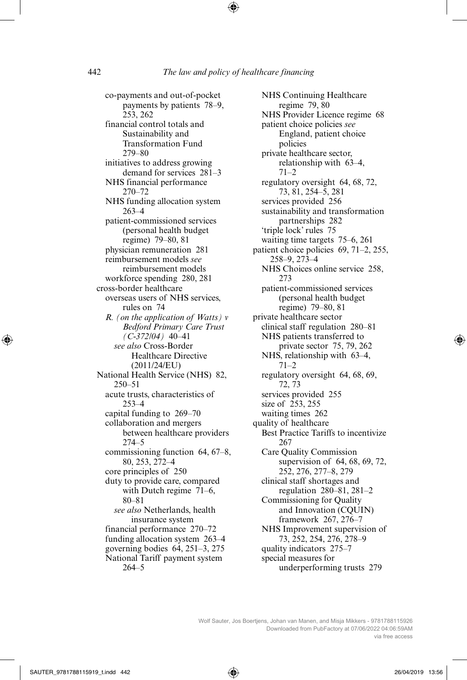co-payments and out-of-pocket payments by patients 78–9, 253, 262 financial control totals and Sustainability and Transformation Fund 279–80 initiatives to address growing demand for services 281–3 NHS financial performance 270–72 NHS funding allocation system 263–4 patient-commissioned services (personal health budget regime) 79–80, 81 physician remuneration 281 reimbursement models *see* reimbursement models workforce spending 280, 281 cross-border healthcare overseas users of NHS services, rules on 74 *R. (on the application of Watts) v Bedford Primary Care Trust (C-372/04)* 40–41 *see also* Cross-Border Healthcare Directive (2011/24/EU) National Health Service (NHS) 82, 250–51 acute trusts, characteristics of 253–4 capital funding to 269–70 collaboration and mergers between healthcare providers 274–5 commissioning function 64, 67–8, 80, 253, 272–4 core principles of 250 duty to provide care, compared with Dutch regime 71–6, 80–81 *see also* Netherlands, health insurance system financial performance 270–72 funding allocation system 263–4 governing bodies 64, 251–3, 275 National Tariff payment system 264–5

NHS Continuing Healthcare regime 79, 80 NHS Provider Licence regime 68 patient choice policies *see* England, patient choice policies private healthcare sector, relationship with 63–4, 71–2 regulatory oversight 64, 68, 72, 73, 81, 254–5, 281 services provided 256 sustainability and transformation partnerships 282 'triple lock' rules 75 waiting time targets 75–6, 261 patient choice policies 69, 71–2, 255, 258–9, 273–4 NHS Choices online service 258, 273 patient-commissioned services (personal health budget regime) 79–80, 81 private healthcare sector clinical staff regulation 280–81 NHS patients transferred to private sector 75, 79, 262 NHS, relationship with 63–4,  $71-2$ regulatory oversight 64, 68, 69, 72, 73 services provided 255 size of 253, 255 waiting times 262 quality of healthcare Best Practice Tariffs to incentivize 267 Care Quality Commission supervision of 64, 68, 69, 72, 252, 276, 277–8, 279 clinical staff shortages and regulation 280–81, 281–2 Commissioning for Quality and Innovation (CQUIN) framework 267, 276–7 NHS Improvement supervision of 73, 252, 254, 276, 278–9 quality indicators 275–7 special measures for underperforming trusts 279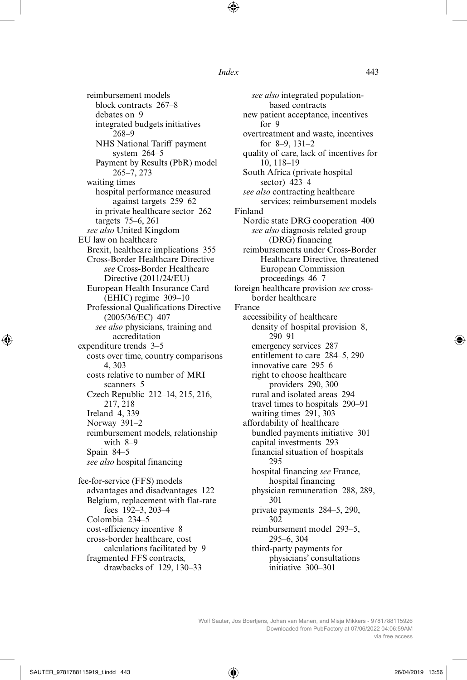reimbursement models block contracts 267–8 debates on 9 integrated budgets initiatives 268–9 NHS National Tariff payment system 264–5 Payment by Results (PbR) model 265–7, 273 waiting times hospital performance measured against targets 259–62 in private healthcare sector 262 targets 75–6, 261 *see also* United Kingdom EU law on healthcare Brexit, healthcare implications 355 Cross-Border Healthcare Directive *see* Cross-Border Healthcare Directive (2011/24/EU) European Health Insurance Card (EHIC) regime 309–10 Professional Qualifications Directive (2005/36/EC) 407 *see also* physicians, training and accreditation expenditure trends 3–5 costs over time, country comparisons 4, 303 costs relative to number of MRI scanners 5 Czech Republic 212–14, 215, 216, 217, 218 Ireland 4, 339 Norway 391–2 reimbursement models, relationship with 8–9 Spain 84–5 *see also* hospital financing fee-for-service (FFS) models advantages and disadvantages 122 Belgium, replacement with flat-rate fees 192–3, 203–4 Colombia 234–5 cost-efficiency incentive 8 cross-border healthcare, cost calculations facilitated by 9

fragmented FFS contracts,

drawbacks of 129, 130–33

*see also* integrated populationbased contracts new patient acceptance, incentives for 9 overtreatment and waste, incentives for 8–9, 131–2 quality of care, lack of incentives for 10, 118–19 South Africa (private hospital sector) 423–4 *see also* contracting healthcare services; reimbursement models Finland Nordic state DRG cooperation 400 *see also* diagnosis related group (DRG) financing reimbursements under Cross-Border Healthcare Directive, threatened European Commission proceedings 46–7 foreign healthcare provision *see* crossborder healthcare France accessibility of healthcare density of hospital provision 8, 290–91 emergency services 287 entitlement to care 284–5, 290 innovative care 295–6 right to choose healthcare providers 290, 300 rural and isolated areas 294 travel times to hospitals 290–91 waiting times 291, 303 affordability of healthcare bundled payments initiative 301 capital investments 293 financial situation of hospitals 295 hospital financing *see* France, hospital financing physician remuneration 288, 289, 301 private payments 284–5, 290, 302 reimbursement model 293–5, 295–6, 304 third-party payments for physicians' consultations initiative 300–301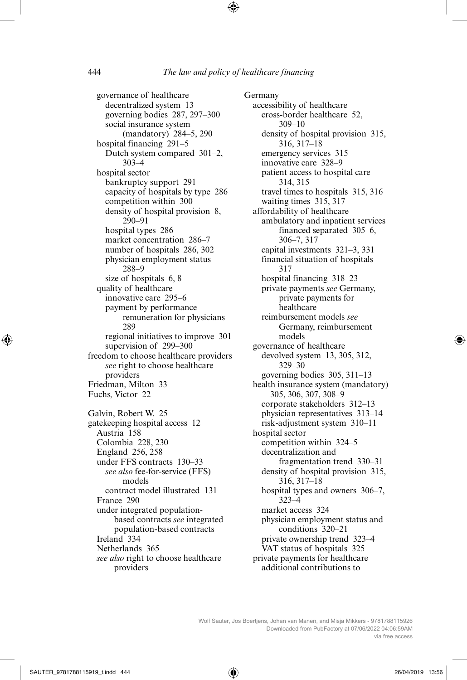governance of healthcare decentralized system 13 governing bodies 287, 297–300 social insurance system (mandatory) 284–5, 290 hospital financing 291–5 Dutch system compared 301–2, 303–4 hospital sector bankruptcy support 291 capacity of hospitals by type 286 competition within 300 density of hospital provision 8, 290–91 hospital types 286 market concentration 286–7 number of hospitals 286, 302 physician employment status 288–9 size of hospitals 6, 8 quality of healthcare innovative care 295–6 payment by performance remuneration for physicians 289 regional initiatives to improve 301 supervision of 299–300 freedom to choose healthcare providers *see* right to choose healthcare providers Friedman, Milton 33 Fuchs, Victor 22 Galvin, Robert W. 25 gatekeeping hospital access 12 Austria 158 Colombia 228, 230 England 256, 258 under FFS contracts 130–33 *see also* fee-for-service (FFS) models contract model illustrated 131 France 290 under integrated populationbased contracts *see* integrated population-based contracts Ireland 334 Netherlands 365 *see also* right to choose healthcare providers

Germany accessibility of healthcare cross-border healthcare 52, 309–10 density of hospital provision 315, 316, 317–18 emergency services 315 innovative care 328–9 patient access to hospital care 314, 315 travel times to hospitals 315, 316 waiting times 315, 317 affordability of healthcare ambulatory and inpatient services financed separated 305–6, 306–7, 317 capital investments 321–3, 331 financial situation of hospitals 317 hospital financing 318–23 private payments *see* Germany, private payments for **healthcare** reimbursement models *see* Germany, reimbursement models governance of healthcare devolved system 13, 305, 312, 329–30 governing bodies 305, 311–13 health insurance system (mandatory) 305, 306, 307, 308–9 corporate stakeholders 312–13 physician representatives 313–14 risk-adjustment system 310–11 hospital sector competition within 324–5 decentralization and fragmentation trend 330–31 density of hospital provision 315, 316, 317–18 hospital types and owners 306–7, 323–4 market access 324 physician employment status and conditions 320–21 private ownership trend 323–4 VAT status of hospitals 325 private payments for healthcare additional contributions to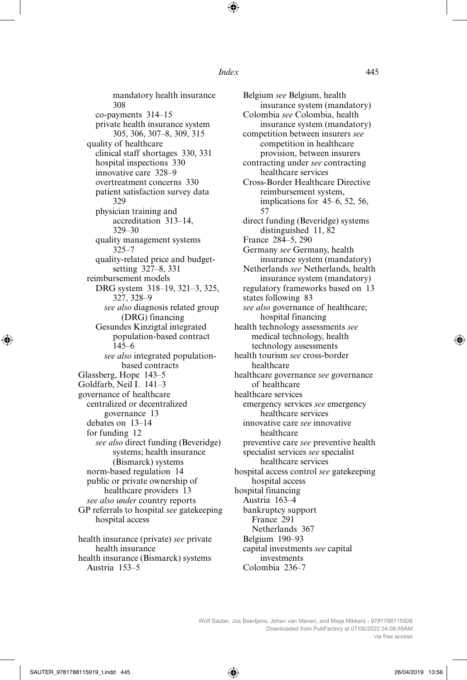mandatory health insurance 308 co-payments 314–15 private health insurance system 305, 306, 307–8, 309, 315 quality of healthcare clinical staff shortages 330, 331 hospital inspections 330 innovative care 328–9 overtreatment concerns 330 patient satisfaction survey data 329 physician training and accreditation 313–14, 329–30 quality management systems 325–7 quality-related price and budgetsetting 327–8, 331 reimbursement models DRG system 318–19, 321–3, 325, 327, 328–9 *see also* diagnosis related group (DRG) financing Gesundes Kinzigtal integrated population-based contract 145–6 *see also* integrated populationbased contracts Glassberg, Hope 143–5 Goldfarb, Neil I. 141–3 governance of healthcare centralized or decentralized governance 13 debates on 13–14 for funding 12 *see also* direct funding (Beveridge) systems; health insurance (Bismarck) systems norm-based regulation 14 public or private ownership of healthcare providers 13 *see also under* country reports GP referrals to hospital *see* gatekeeping hospital access health insurance (private) *see* private health insurance

health insurance (Bismarck) systems Austria 153–5

Belgium *see* Belgium, health insurance system (mandatory) Colombia *see* Colombia, health insurance system (mandatory) competition between insurers *see* competition in healthcare provision, between insurers contracting under *see* contracting healthcare services Cross-Border Healthcare Directive reimbursement system, implications for 45–6, 52, 56, 57 direct funding (Beveridge) systems distinguished 11, 82 France 284–5, 290 Germany *see* Germany, health insurance system (mandatory) Netherlands *see* Netherlands, health insurance system (mandatory) regulatory frameworks based on 13 states following 83 *see also* governance of healthcare; hospital financing health technology assessments *see* medical technology, health technology assessments health tourism *see* cross-border healthcare healthcare governance *see* governance of healthcare healthcare services emergency services *see* emergency healthcare services innovative care *see* innovative healthcare preventive care *see* preventive health specialist services *see* specialist healthcare services hospital access control *see* gatekeeping hospital access hospital financing Austria 163–4 bankruptcy support France 291 Netherlands 367 Belgium 190–93 capital investments *see* capital investments Colombia 236–7

Wolf Sauter, Jos Boertjens, Johan van Manen, and Misja Mikkers - 9781788115926 Downloaded from PubFactory at 07/06/2022 04:06:59AM via free access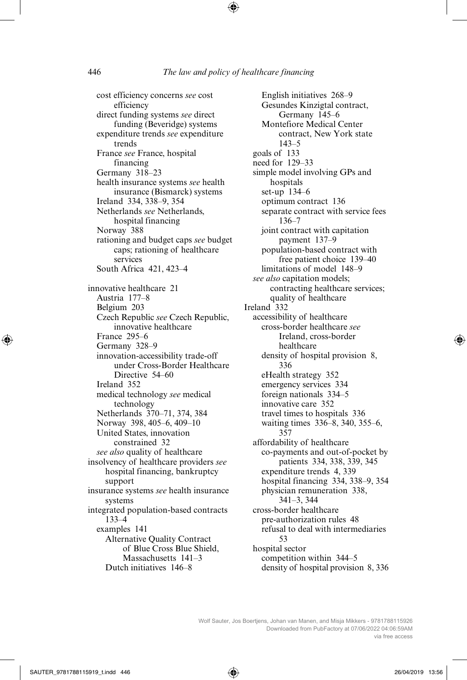cost efficiency concerns *see* cost efficiency direct funding systems *see* direct funding (Beveridge) systems expenditure trends *see* expenditure trends France *see* France, hospital financing Germany 318–23 health insurance systems *see* health insurance (Bismarck) systems Ireland 334, 338–9, 354 Netherlands *see* Netherlands, hospital financing Norway 388 rationing and budget caps *see* budget caps; rationing of healthcare services South Africa 421, 423–4 innovative healthcare 21 Austria 177–8 Belgium 203 Czech Republic *see* Czech Republic, innovative healthcare France 295–6 Germany 328–9 innovation-accessibility trade-off under Cross-Border Healthcare Directive 54–60 Ireland 352 medical technology *see* medical technology Netherlands 370–71, 374, 384 Norway 398, 405–6, 409–10 United States, innovation constrained 32 *see also* quality of healthcare insolvency of healthcare providers *see* hospital financing, bankruptcy support insurance systems *see* health insurance systems integrated population-based contracts 133–4 examples 141 Alternative Quality Contract of Blue Cross Blue Shield, Massachusetts 141–3 Dutch initiatives 146–8

English initiatives 268–9 Gesundes Kinzigtal contract, Germany 145–6 Montefiore Medical Center contract, New York state 143–5 goals of 133 need for 129–33 simple model involving GPs and hospitals set-up 134–6 optimum contract 136 separate contract with service fees 136–7 joint contract with capitation payment 137–9 population-based contract with free patient choice 139–40 limitations of model 148–9 *see also* capitation models; contracting healthcare services; quality of healthcare Ireland 332 accessibility of healthcare cross-border healthcare *see* Ireland, cross-border healthcare density of hospital provision 8, 336 eHealth strategy 352 emergency services 334 foreign nationals 334–5 innovative care 352 travel times to hospitals 336 waiting times 336–8, 340, 355–6, 357 affordability of healthcare co-payments and out-of-pocket by patients 334, 338, 339, 345 expenditure trends 4, 339 hospital financing 334, 338–9, 354 physician remuneration 338, 341–3, 344 cross-border healthcare pre-authorization rules 48 refusal to deal with intermediaries 53 hospital sector competition within 344–5 density of hospital provision 8, 336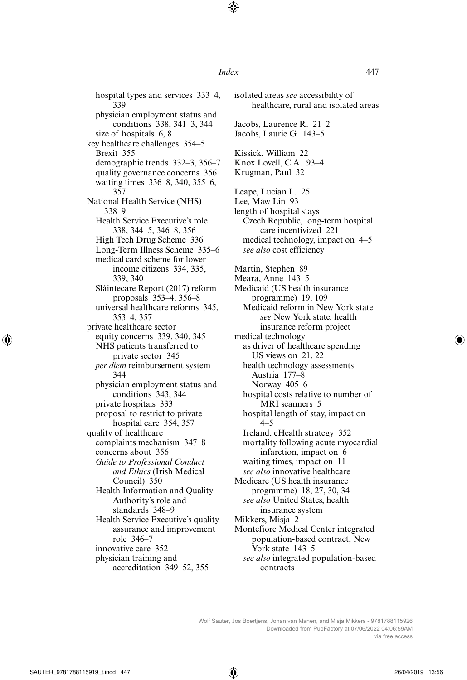hospital types and services 333–4, 339 physician employment status and conditions 338, 341–3, 344 size of hospitals 6, 8 key healthcare challenges 354–5 Brexit 355 demographic trends 332–3, 356–7 quality governance concerns 356 waiting times 336–8, 340, 355–6, 357 National Health Service (NHS) 338–9 Health Service Executive's role 338, 344–5, 346–8, 356 High Tech Drug Scheme 336 Long-Term Illness Scheme 335–6 medical card scheme for lower income citizens 334, 335, 339, 340 Sláintecare Report (2017) reform proposals 353–4, 356–8 universal healthcare reforms 345, 353–4, 357 private healthcare sector equity concerns 339, 340, 345 NHS patients transferred to private sector 345 *per diem* reimbursement system 344 physician employment status and conditions 343, 344 private hospitals 333 proposal to restrict to private hospital care 354, 357 quality of healthcare complaints mechanism 347–8 concerns about 356 *Guide to Professional Conduct and Ethics* (Irish Medical Council) 350 Health Information and Quality Authority's role and standards 348–9 Health Service Executive's quality assurance and improvement role 346–7 innovative care 352 physician training and accreditation 349–52, 355

isolated areas *see* accessibility of healthcare, rural and isolated areas Jacobs, Laurence R. 21–2 Jacobs, Laurie G. 143–5 Kissick, William 22 Knox Lovell, C.A. 93–4 Krugman, Paul 32 Leape, Lucian L. 25 Lee, Maw Lin 93 length of hospital stays Czech Republic, long-term hospital care incentivized 221 medical technology, impact on 4–5 *see also* cost efficiency Martin, Stephen 89 Meara, Anne 143–5 Medicaid (US health insurance programme) 19, 109 Medicaid reform in New York state *see* New York state, health insurance reform project medical technology as driver of healthcare spending US views on 21, 22 health technology assessments Austria 177–8 Norway 405–6 hospital costs relative to number of MRI scanners 5 hospital length of stay, impact on 4–5 Ireland, eHealth strategy 352 mortality following acute myocardial infarction, impact on 6 waiting times, impact on 11 *see also* innovative healthcare Medicare (US health insurance programme) 18, 27, 30, 34 *see also* United States, health insurance system Mikkers, Misja 2 Montefiore Medical Center integrated population-based contract, New York state 143–5 *see also* integrated population-based contracts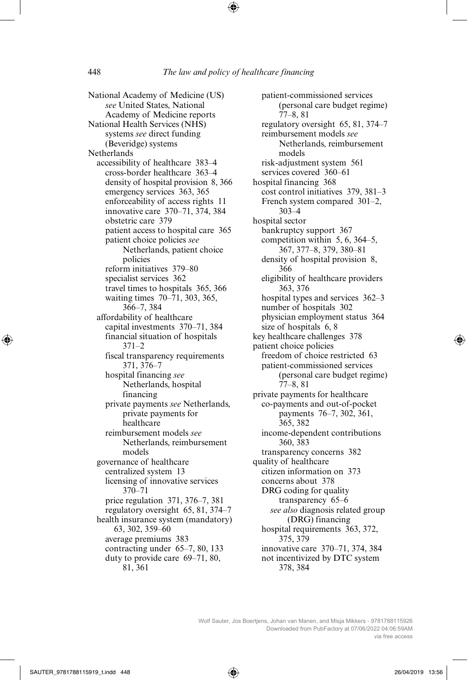National Academy of Medicine (US) *see* United States, National Academy of Medicine reports National Health Services (NHS) systems *see* direct funding (Beveridge) systems Netherlands accessibility of healthcare 383–4 cross-border healthcare 363–4 density of hospital provision 8, 366 emergency services 363, 365 enforceability of access rights 11 innovative care 370–71, 374, 384 obstetric care 379 patient access to hospital care 365 patient choice policies *see* Netherlands, patient choice policies reform initiatives 379–80 specialist services 362 travel times to hospitals 365, 366 waiting times 70–71, 303, 365, 366–7, 384 affordability of healthcare capital investments 370–71, 384 financial situation of hospitals 371–2 fiscal transparency requirements 371, 376–7 hospital financing *see* Netherlands, hospital financing private payments *see* Netherlands, private payments for healthcare reimbursement models *see* Netherlands, reimbursement models governance of healthcare centralized system 13 licensing of innovative services 370–71 price regulation 371, 376–7, 381 regulatory oversight 65, 81, 374–7 health insurance system (mandatory) 63, 302, 359–60 average premiums 383 contracting under 65–7, 80, 133 duty to provide care 69–71, 80, 81, 361

patient-commissioned services (personal care budget regime) 77–8, 81 regulatory oversight 65, 81, 374–7 reimbursement models *see* Netherlands, reimbursement models risk-adjustment system 561 services covered 360–61 hospital financing 368 cost control initiatives 379, 381–3 French system compared 301–2, 303–4 hospital sector bankruptcy support 367 competition within 5, 6, 364–5, 367, 377–8, 379, 380–81 density of hospital provision 8, 366 eligibility of healthcare providers 363, 376 hospital types and services 362–3 number of hospitals 302 physician employment status 364 size of hospitals 6, 8 key healthcare challenges 378 patient choice policies freedom of choice restricted 63 patient-commissioned services (personal care budget regime) 77–8, 81 private payments for healthcare co-payments and out-of-pocket payments 76–7, 302, 361, 365, 382 income-dependent contributions 360, 383 transparency concerns 382 quality of healthcare citizen information on 373 concerns about 378 DRG coding for quality transparency 65–6 *see also* diagnosis related group (DRG) financing hospital requirements 363, 372, 375, 379 innovative care 370–71, 374, 384 not incentivized by DTC system 378, 384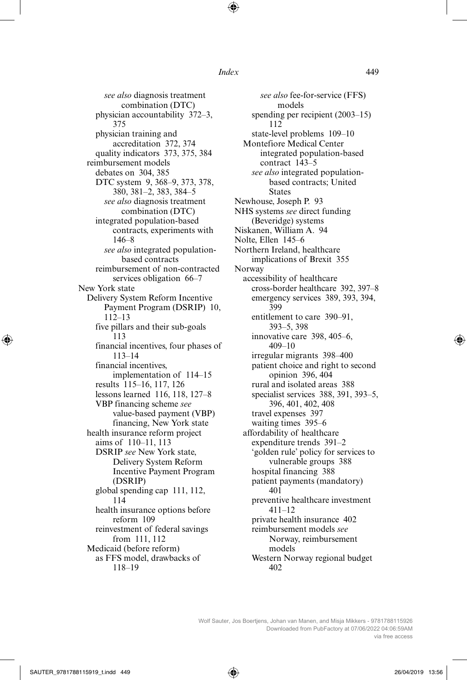*see also* diagnosis treatment combination (DTC) physician accountability 372–3, 375 physician training and accreditation 372, 374 quality indicators 373, 375, 384 reimbursement models debates on 304, 385 DTC system 9, 368–9, 373, 378, 380, 381–2, 383, 384–5 *see also* diagnosis treatment combination (DTC) integrated population-based contracts, experiments with 146–8 *see also* integrated populationbased contracts reimbursement of non-contracted services obligation 66–7 New York state Delivery System Reform Incentive Payment Program (DSRIP) 10, 112–13 five pillars and their sub-goals 113 financial incentives, four phases of 113–14 financial incentives, implementation of 114–15 results 115–16, 117, 126 lessons learned 116, 118, 127–8 VBP financing scheme *see* value-based payment (VBP) financing, New York state health insurance reform project aims of 110–11, 113 DSRIP *see* New York state, Delivery System Reform Incentive Payment Program (DSRIP) global spending cap 111, 112, 114 health insurance options before reform 109 reinvestment of federal savings from 111, 112 Medicaid (before reform) as FFS model, drawbacks of 118–19

*see also* fee-for-service (FFS) models spending per recipient (2003–15) 112 state-level problems 109–10 Montefiore Medical Center integrated population-based contract 143–5 *see also* integrated populationbased contracts; United States Newhouse, Joseph P. 93 NHS systems *see* direct funding (Beveridge) systems Niskanen, William A. 94 Nolte, Ellen 145–6 Northern Ireland, healthcare implications of Brexit 355 Norway accessibility of healthcare cross-border healthcare 392, 397–8 emergency services 389, 393, 394, 399 entitlement to care 390–91, 393–5, 398 innovative care 398, 405–6, 409–10 irregular migrants 398–400 patient choice and right to second opinion 396, 404 rural and isolated areas 388 specialist services 388, 391, 393–5, 396, 401, 402, 408 travel expenses 397 waiting times 395–6 affordability of healthcare expenditure trends 391–2 'golden rule' policy for services to vulnerable groups 388 hospital financing 388 patient payments (mandatory) 401 preventive healthcare investment 411–12 private health insurance 402 reimbursement models *see* Norway, reimbursement models Western Norway regional budget 402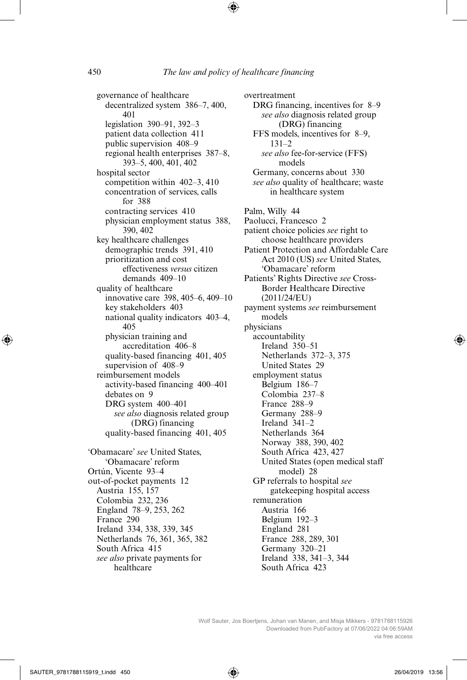governance of healthcare decentralized system 386–7, 400, 401 legislation 390–91, 392–3 patient data collection 411 public supervision 408–9 regional health enterprises 387–8, 393–5, 400, 401, 402 hospital sector competition within 402–3, 410 concentration of services, calls for 388 contracting services 410 physician employment status 388, 390, 402 key healthcare challenges demographic trends 391, 410 prioritization and cost effectiveness *versus* citizen demands 409–10 quality of healthcare innovative care 398, 405–6, 409–10 key stakeholders 403 national quality indicators 403–4, 405 physician training and accreditation 406–8 quality-based financing 401, 405 supervision of 408–9 reimbursement models activity-based financing 400–401 debates on 9 DRG system 400–401 *see also* diagnosis related group (DRG) financing quality-based financing 401, 405 'Obamacare' *see* United States, 'Obamacare' reform Ortún, Vicente 93–4 out-of-pocket payments 12 Austria 155, 157 Colombia 232, 236 England 78–9, 253, 262 France 290 Ireland 334, 338, 339, 345 Netherlands 76, 361, 365, 382 South Africa 415

*see also* private payments for healthcare

overtreatment DRG financing, incentives for 8–9 *see also* diagnosis related group (DRG) financing FFS models, incentives for 8–9,  $131-2$ *see also* fee-for-service (FFS) models Germany, concerns about 330 *see also* quality of healthcare; waste in healthcare system Palm, Willy 44 Paolucci, Francesco 2 patient choice policies *see* right to choose healthcare providers Patient Protection and Affordable Care Act 2010 (US) *see* United States, 'Obamacare' reform Patients' Rights Directive *see* Cross-Border Healthcare Directive (2011/24/EU) payment systems *see* reimbursement models physicians accountability Ireland 350–51 Netherlands 372–3, 375 United States 29 employment status Belgium 186–7 Colombia 237–8 France 288–9 Germany 288–9 Ireland 341–2 Netherlands 364 Norway 388, 390, 402 South Africa 423, 427 United States (open medical staff model) 28 GP referrals to hospital *see* gatekeeping hospital access remuneration Austria 166 Belgium 192–3 England 281 France 288, 289, 301 Germany 320–21 Ireland 338, 341–3, 344 South Africa 423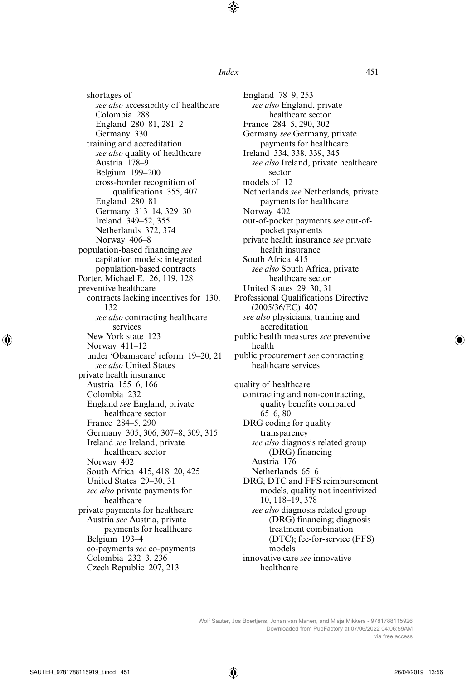shortages of *see also* accessibility of healthcare Colombia 288 England 280–81, 281–2 Germany 330 training and accreditation *see also* quality of healthcare Austria 178–9 Belgium 199–200 cross-border recognition of qualifications 355, 407 England 280–81 Germany 313–14, 329–30 Ireland 349–52, 355 Netherlands 372, 374 Norway 406–8 population-based financing *see* capitation models; integrated population-based contracts Porter, Michael E. 26, 119, 128 preventive healthcare contracts lacking incentives for 130, 132 *see also* contracting healthcare services New York state 123 Norway 411–12 under 'Obamacare' reform 19–20, 21 *see also* United States private health insurance Austria 155–6, 166 Colombia 232 England *see* England, private healthcare sector France 284–5, 290 Germany 305, 306, 307–8, 309, 315 Ireland *see* Ireland, private healthcare sector Norway 402 South Africa 415, 418–20, 425 United States 29–30, 31 *see also* private payments for healthcare private payments for healthcare Austria *see* Austria, private payments for healthcare Belgium 193–4 co-payments *see* co-payments Colombia 232–3, 236 Czech Republic 207, 213

England 78–9, 253 *see also* England, private healthcare sector France 284–5, 290, 302 Germany *see* Germany, private payments for healthcare Ireland 334, 338, 339, 345 *see also* Ireland, private healthcare sector models of 12 Netherlands *see* Netherlands, private payments for healthcare Norway 402 out-of-pocket payments *see* out-ofpocket payments private health insurance *see* private health insurance South Africa 415 *see also* South Africa, private healthcare sector United States 29–30, 31 Professional Qualifications Directive (2005/36/EC) 407 *see also* physicians, training and accreditation public health measures *see* preventive health public procurement *see* contracting healthcare services quality of healthcare contracting and non-contracting, quality benefits compared 65–6, 80 DRG coding for quality transparency *see also* diagnosis related group (DRG) financing Austria 176 Netherlands 65–6 DRG, DTC and FFS reimbursement models, quality not incentivized 10, 118–19, 378 *see also* diagnosis related group (DRG) financing; diagnosis treatment combination (DTC); fee-for-service (FFS) models innovative care *see* innovative healthcare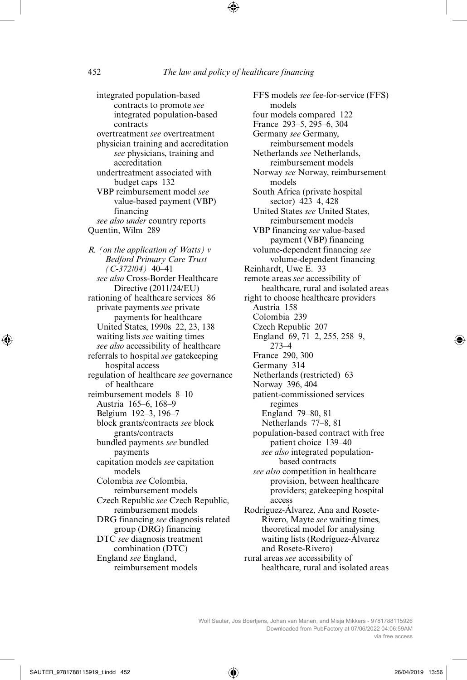integrated population-based contracts to promote *see* integrated population-based contracts overtreatment *see* overtreatment physician training and accreditation *see* physicians, training and accreditation undertreatment associated with budget caps 132 VBP reimbursement model *see* value-based payment (VBP) financing *see also under* country reports Quentin, Wilm 289 *R. (on the application of Watts) v Bedford Primary Care Trust (C-372/04)* 40–41 *see also* Cross-Border Healthcare Directive (2011/24/EU) rationing of healthcare services 86 private payments *see* private payments for healthcare United States, 1990s 22, 23, 138 waiting lists *see* waiting times *see also* accessibility of healthcare referrals to hospital *see* gatekeeping hospital access regulation of healthcare *see* governance of healthcare reimbursement models 8–10 Austria 165–6, 168–9 Belgium 192–3, 196–7 block grants/contracts *see* block

grants/contracts bundled payments *see* bundled payments capitation models *see* capitation models Colombia *see* Colombia, reimbursement models Czech Republic *see* Czech Republic, reimbursement models DRG financing *see* diagnosis related group (DRG) financing DTC *see* diagnosis treatment combination (DTC) England *see* England,

reimbursement models

FFS models *see* fee-for-service (FFS) models four models compared 122 France 293–5, 295–6, 304 Germany *see* Germany, reimbursement models Netherlands *see* Netherlands, reimbursement models Norway *see* Norway, reimbursement models South Africa (private hospital sector) 423–4, 428 United States *see* United States, reimbursement models VBP financing *see* value-based payment (VBP) financing volume-dependent financing *see* volume-dependent financing Reinhardt, Uwe E. 33 remote areas *see* accessibility of healthcare, rural and isolated areas right to choose healthcare providers Austria 158 Colombia 239 Czech Republic 207 England 69, 71–2, 255, 258–9, 273–4 France 290, 300 Germany 314 Netherlands (restricted) 63 Norway 396, 404 patient-commissioned services regimes England 79–80, 81 Netherlands 77–8, 81 population-based contract with free patient choice 139–40 *see also* integrated populationbased contracts *see also* competition in healthcare provision, between healthcare providers; gatekeeping hospital access Rodríguez-Álvarez, Ana and Rosete-Rivero, Mayte *see* waiting times, theoretical model for analysing waiting lists (Rodríguez-Álvarez

and Rosete-Rivero) rural areas *see* accessibility of healthcare, rural and isolated areas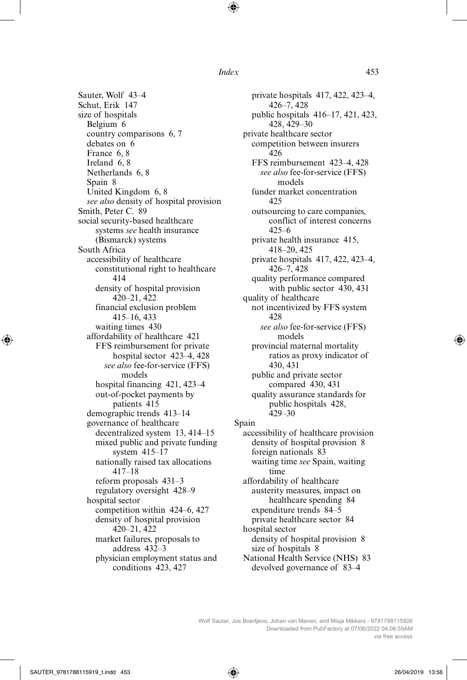Sauter, Wolf 43–4 Schut, Erik 147 size of hospitals Belgium 6 country comparisons 6, 7 debates on 6 France 6, 8 Ireland 6, 8 Netherlands 6, 8 Spain 8 United Kingdom 6, 8 *see also* density of hospital provision Smith, Peter C. 89 social security-based healthcare systems *see* health insurance (Bismarck) systems South Africa accessibility of healthcare constitutional right to healthcare 414 density of hospital provision 420–21, 422 financial exclusion problem 415–16, 433 waiting times 430 affordability of healthcare 421 FFS reimbursement for private hospital sector 423–4, 428 *see also* fee-for-service (FFS) models hospital financing 421, 423–4 out-of-pocket payments by patients 415 demographic trends 413–14 governance of healthcare decentralized system 13, 414–15 mixed public and private funding system 415–17 nationally raised tax allocations 417–18 reform proposals 431–3 regulatory oversight 428–9 hospital sector competition within 424–6, 427 density of hospital provision 420–21, 422 market failures, proposals to address 432–3 physician employment status and conditions 423, 427

private hospitals 417, 422, 423–4, 426–7, 428 public hospitals 416–17, 421, 423, 428, 429–30 private healthcare sector competition between insurers 426 FFS reimbursement 423–4, 428 *see also* fee-for-service (FFS) models funder market concentration 425 outsourcing to care companies, conflict of interest concerns 425–6 private health insurance 415, 418–20, 425 private hospitals 417, 422, 423–4, 426–7, 428 quality performance compared with public sector 430, 431 quality of healthcare not incentivized by FFS system 428 *see also* fee-for-service (FFS) models provincial maternal mortality ratios as proxy indicator of 430, 431 public and private sector compared 430, 431 quality assurance standards for public hospitals 428, 429–30 Spain accessibility of healthcare provision density of hospital provision 8 foreign nationals 83 waiting time *see* Spain, waiting time affordability of healthcare austerity measures, impact on healthcare spending 84 expenditure trends 84–5 private healthcare sector 84 hospital sector density of hospital provision 8 size of hospitals 8 National Health Service (NHS) 83 devolved governance of 83–4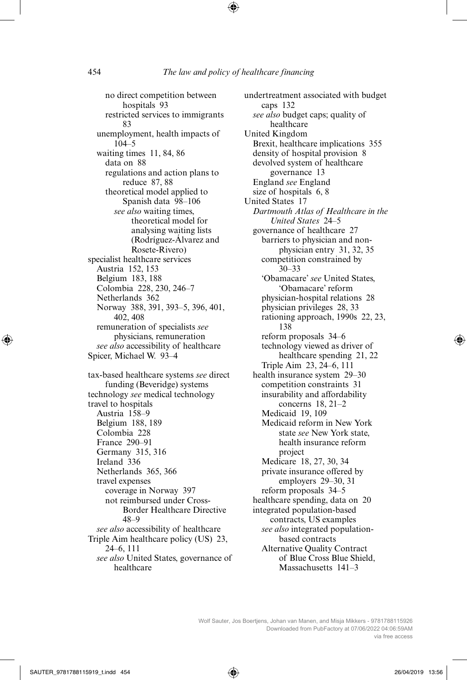no direct competition between hospitals 93 restricted services to immigrants 83 unemployment, health impacts of 104–5 waiting times 11, 84, 86 data on 88 regulations and action plans to reduce 87, 88 theoretical model applied to Spanish data 98–106 *see also* waiting times, theoretical model for analysing waiting lists (Rodríguez-Álvarez and Rosete-Rivero) specialist healthcare services Austria 152, 153 Belgium 183, 188 Colombia 228, 230, 246–7 Netherlands 362 Norway 388, 391, 393–5, 396, 401, 402, 408 remuneration of specialists *see* physicians, remuneration *see also* accessibility of healthcare Spicer, Michael W. 93–4 tax-based healthcare systems *see* direct funding (Beveridge) systems technology *see* medical technology travel to hospitals Austria 158–9 Belgium 188, 189 Colombia 228 France 290–91 Germany 315, 316 Ireland 336 Netherlands 365, 366 travel expenses coverage in Norway 397 not reimbursed under Cross-Border Healthcare Directive 48–9 *see also* accessibility of healthcare Triple Aim healthcare policy (US) 23, 24–6, 111 *see also* United States, governance of healthcare

undertreatment associated with budget caps 132 *see also* budget caps; quality of healthcare United Kingdom Brexit, healthcare implications 355 density of hospital provision 8 devolved system of healthcare governance 13 England *see* England size of hospitals 6, 8 United States 17 *Dartmouth Atlas of Healthcare in the United States* 24–5 governance of healthcare 27 barriers to physician and nonphysician entry 31, 32, 35 competition constrained by 30–33 'Obamacare' *see* United States, 'Obamacare' reform physician-hospital relations 28 physician privileges 28, 33 rationing approach, 1990s 22, 23, 138 reform proposals 34–6 technology viewed as driver of healthcare spending 21, 22 Triple Aim 23, 24–6, 111 health insurance system 29–30 competition constraints 31 insurability and affordability concerns 18, 21–2 Medicaid 19, 109 Medicaid reform in New York state *see* New York state, health insurance reform project Medicare 18, 27, 30, 34 private insurance offered by employers 29–30, 31 reform proposals 34–5 healthcare spending, data on 20 integrated population-based contracts, US examples *see also* integrated populationbased contracts Alternative Quality Contract of Blue Cross Blue Shield, Massachusetts 141–3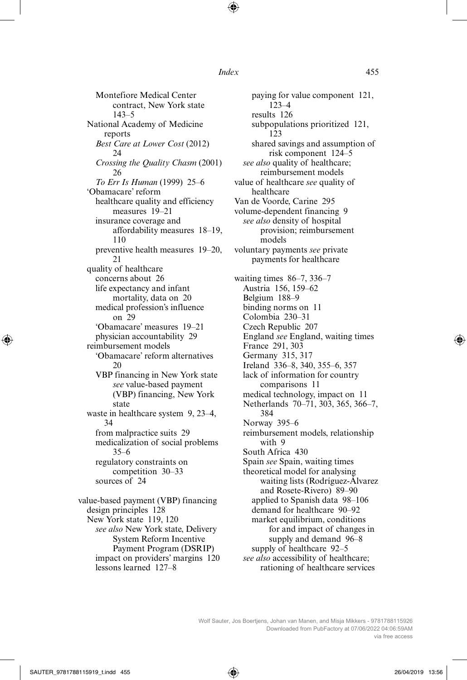Montefiore Medical Center contract, New York state 143–5 National Academy of Medicine reports *Best Care at Lower Cost* (2012)  $24$ *Crossing the Quality Chasm* (2001) 26 *To Err Is Human* (1999) 25–6 'Obamacare' reform healthcare quality and efficiency measures 19–21 insurance coverage and affordability measures 18–19, 110 preventive health measures 19–20, 21 quality of healthcare concerns about 26 life expectancy and infant mortality, data on 20 medical profession's influence on 29 'Obamacare' measures 19–21 physician accountability 29 reimbursement models 'Obamacare' reform alternatives  $20$ VBP financing in New York state *see* value-based payment (VBP) financing, New York state waste in healthcare system 9, 23–4, 34 from malpractice suits 29 medicalization of social problems 35–6 regulatory constraints on competition 30–33 sources of 24 value-based payment (VBP) financing design principles 128 New York state 119, 120 *see also* New York state, Delivery System Reform Incentive

Payment Program (DSRIP) impact on providers' margins 120 lessons learned 127–8

paying for value component 121, 123–4 results 126 subpopulations prioritized 121, 123 shared savings and assumption of risk component 124–5 *see also* quality of healthcare; reimbursement models value of healthcare *see* quality of healthcare Van de Voorde, Carine 295 volume-dependent financing 9 *see also* density of hospital provision; reimbursement models voluntary payments *see* private payments for healthcare waiting times 86–7, 336–7 Austria 156, 159–62 Belgium 188–9 binding norms on 11 Colombia 230–31 Czech Republic 207 England *see* England, waiting times France 291, 303 Germany 315, 317 Ireland 336–8, 340, 355–6, 357 lack of information for country comparisons 11 medical technology, impact on 11 Netherlands 70–71, 303, 365, 366–7, 384 Norway 395–6 reimbursement models, relationship with 9 South Africa 430 Spain *see* Spain, waiting times theoretical model for analysing waiting lists (Rodríguez-Álvarez and Rosete-Rivero) 89–90 applied to Spanish data 98–106 demand for healthcare 90–92 market equilibrium, conditions for and impact of changes in supply and demand 96–8 supply of healthcare 92–5 *see also* accessibility of healthcare; rationing of healthcare services